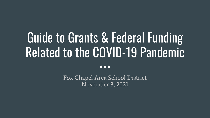# Guide to Grants & Federal Funding Related to the COVID-19 Pandemic

 $\bullet\bullet\bullet$ 

Fox Chapel Area School District November 8, 2021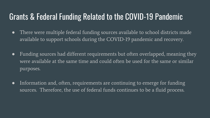### Grants & Federal Funding Related to the COVID-19 Pandemic

- There were multiple federal funding sources available to school districts made available to support schools during the COVID-19 pandemic and recovery.
- Funding sources had different requirements but often overlapped, meaning they were available at the same time and could often be used for the same or similar purposes.
- Information and, often, requirements are continuing to emerge for funding sources. Therefore, the use of federal funds continues to be a fluid process.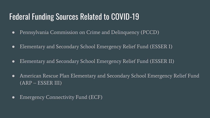### Federal Funding Sources Related to COVID-19

- Pennsylvania Commission on Crime and Delinquency (PCCD)
- Elementary and Secondary School Emergency Relief Fund (ESSER I)
- Elementary and Secondary School Emergency Relief Fund (ESSER II)
- American Rescue Plan Elementary and Secondary School Emergency Relief Fund (ARP – ESSER III)
- Emergency Connectivity Fund (ECF)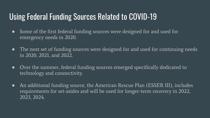### Using Federal Funding Sources Related to COVID-19

- Some of the first federal funding sources were designed for and used for emergency needs in 2020.
- The next set of funding sources were designed for and used for continuing needs in 2020, 2021, and 2022.
- Over the summer, federal funding sources emerged specifically dedicated to technology and connectivity.
- An additional funding source, the American Rescue Plan (ESSER III), includes requirements for set-asides and will be used for longer-term recovery in 2022, 2023, 2024.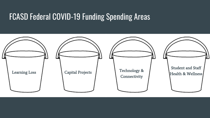### FCASD Federal COVID-19 Funding Spending Areas

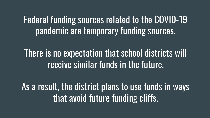# Federal funding sources related to the COVID-19 pandemic are temporary funding sources.

There is no expectation that school districts will receive similar funds in the future.

As a result, the district plans to use funds in ways that avoid future funding cliffs.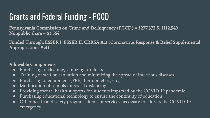# Grants and Federal Funding - PCCD

Pennsylvania Commission on Crime and Delinquency (PCCD) = \$277,372 & \$112,549 Nonpublic share  $= $3,564$ 

Funded Through: ESSER I, ESSER II, CRRSA Act (Coronavirus Response & Relief Supplemental Appropriations Act)

#### Allowable Components:

- Purchasing of cleaning/sanitizing products
- Training of staff on sanitation and minimizing the spread of infectious diseases
- Purchasing of equipment (PPE, thermometers, etc.),
- Modification of schools for social distancing
- Providing mental health supports for students impacted by the COVID-19 pandemic
- Purchasing educational technology to ensure the continuity of education
- Other health and safety programs, items or services necessary to address the COVID-19 emergency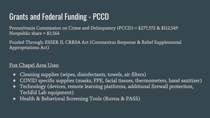# Grants and Federal Funding - PCCD

Pennsylvania Commission on Crime and Delinquency (PCCD) = \$277,372 & \$112,549 Nonpublic share  $= $3,564$ 

Funded Through: ESSER II, CRRSA Act (Coronavirus Response & Relief Supplemental Appropriations Act)

#### Fox Chapel Area Uses:

- Cleaning supplies (wipes, disinfectants, towels, air filters)
- COVID specific supplies (masks, PPE, facial tissues, thermometers, hand sanitizer)
- Technology (devices, remote learning platforms, additional firewall protection, TechEd Lab equipment)
- Health & Behavioral Screening Tools (Ruvna & PASS)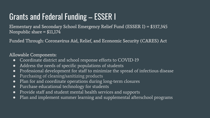# Grants and Federal Funding – ESSER I

Elementary and Secondary School Emergency Relief Fund (ESSER I) = \$337,345 Nonpublic share = \$11,174

Funded Through: Coronavirus Aid, Relief, and Economic Security (CARES) Act

#### Allowable Components:

- Coordinate district and school response efforts to COVID-19
- Address the needs of specific populations of students
- Professional development for staff to minimize the spread of infectious disease
- Purchasing of cleaning/sanitizing products
- Plan for and coordinate operations during long-term closures
- Purchase educational technology for students
- Provide staff and student mental health services and supports
- Plan and implement summer learning and supplemental afterschool programs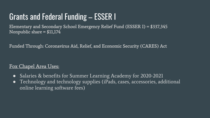# Grants and Federal Funding – ESSER I

Elementary and Secondary School Emergency Relief Fund (ESSER I) = \$337,345 Nonpublic share = \$11,174

Funded Through: Coronavirus Aid, Relief, and Economic Security (CARES) Act

#### Fox Chapel Area Uses:

- Salaries & benefits for Summer Learning Academy for 2020-2021
- Technology and technology supplies (iPads, cases, accessories, additional online learning software fees)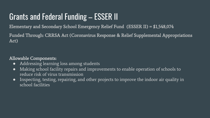# Grants and Federal Funding – ESSER II

Elementary and Secondary School Emergency Relief Fund (ESSER II) = \$1,548,074

Funded Through: CRRSA Act (Coronavirus Response & Relief Supplemental Appropriations Act)

#### Allowable Components:

- Addressing learning loss among students
- Making school facility repairs and improvements to enable operation of schools to reduce risk of virus transmission
- Inspecting, testing, repairing, and other projects to improve the indoor air quality in school facilities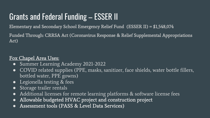# Grants and Federal Funding – ESSER II

Elementary and Secondary School Emergency Relief Fund (ESSER II) = \$1,548,074

Funded Through: CRRSA Act (Coronavirus Response & Relief Supplemental Appropriations Act)

#### Fox Chapel Area Uses:

- Summer Learning Academy 2021-2022
- COVID related supplies (PPE, masks, sanitizer, face shields, water bottle fillers, bottled water, PPE gowns)
- Legionella testing & fees
- Storage trailer rentals
- Additional licenses for remote learning platforms  $\&$  software license fees
- Allowable budgeted HVAC project and construction project
- Assessment tools (PASS & Level Data Services)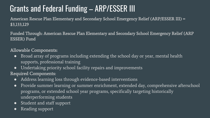# Grants and Federal Funding – ARP/ESSER III

American Rescue Plan Elementary and Secondary School Emergency Relief (ARP/ESSER III) = \$3,133,129

Funded Through: American Rescue Plan Elementary and Secondary School Emergency Relief (ARP ESSER) Fund

#### Allowable Components:

- Broad array of programs including extending the school day or year, mental health supports, professional training
- Undertaking priority school facility repairs and improvements

Required Components:

- Address learning loss through evidence-based interventions
- Provide summer learning or summer enrichment, extended day, comprehensive afterschool programs, or extended school year programs, specifically targeting historically underperforming students
- Student and staff support
- Reading support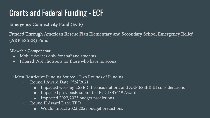# Grants and Federal Funding - ECF

Emergency Connectivity Fund (ECF)

Funded Through American Rescue Plan Elementary and Secondary School Emergency Relief (ARP ESSER) Fund

Allowable Components:

- Mobile devices only for staff and students
- Filtered Wi-Fi hotspots for those who have no access

\*Most Restrictive Funding Source - Two Rounds of Funding

- Round I Award Date: 9/24/2021
	- Impacted working ESSER II considerations and ARP ESSER III considerations
	- Impacted previously submitted PCCD 35449 Award
	- Impacted 2022/2023 budget predictions
- Round II Award Date: TBD
	- Would impact 2022/2023 budget predictions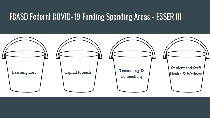### FCASD Federal COVID-19 Funding Spending Areas - ESSER III

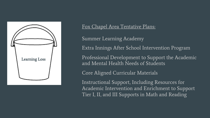

Summer Learning Academy

Extra Innings After School Intervention Program

Professional Development to Support the Academic and Mental Health Needs of Students

Core Aligned Curricular Materials

Instructional Support, Including Resources for Academic Intervention and Enrichment to Support Tier I, II, and III Supports in Math and Reading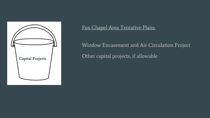

Window Encasement and Air Circulation Project Other capital projects, if allowable Capital Projects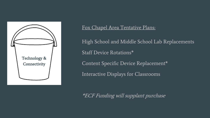

High School and Middle School Lab Replacements Staff Device Rotations\* Content Specific Device Replacement\* Interactive Displays for Classrooms

\*ECF Funding will supplant purchase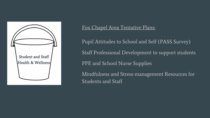

Pupil Attitudes to School and Self (PASS Survey) Staff Professional Development to support students PPE and School Nurse Supplies Mindfulness and Stress-management Resources for Students and Staff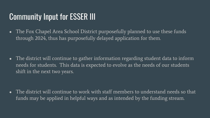### Community Input for ESSER III

• The Fox Chapel Area School District purposefully planned to use these funds through 2024, thus has purposefully delayed application for them.

• The district will continue to gather information regarding student data to inform needs for students. This data is expected to evolve as the needs of our students shift in the next two years.

• The district will continue to work with staff members to understand needs so that funds may be applied in helpful ways and as intended by the funding stream.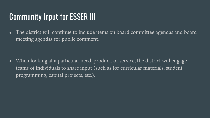### Community Input for ESSER III

• The district will continue to include items on board committee agendas and board meeting agendas for public comment.

• When looking at a particular need, product, or service, the district will engage teams of individuals to share input (such as for curricular materials, student programming, capital projects, etc.).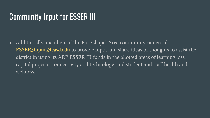### Community Input for ESSER III

• Additionally, members of the Fox Chapel Area community can email ESSER3input@fcasd.edu to provide input and share ideas or thoughts to a district in using its ARP ESSER III funds in the allotted areas of learning loss capital projects, connectivity and technology, and student and staff health wellness.